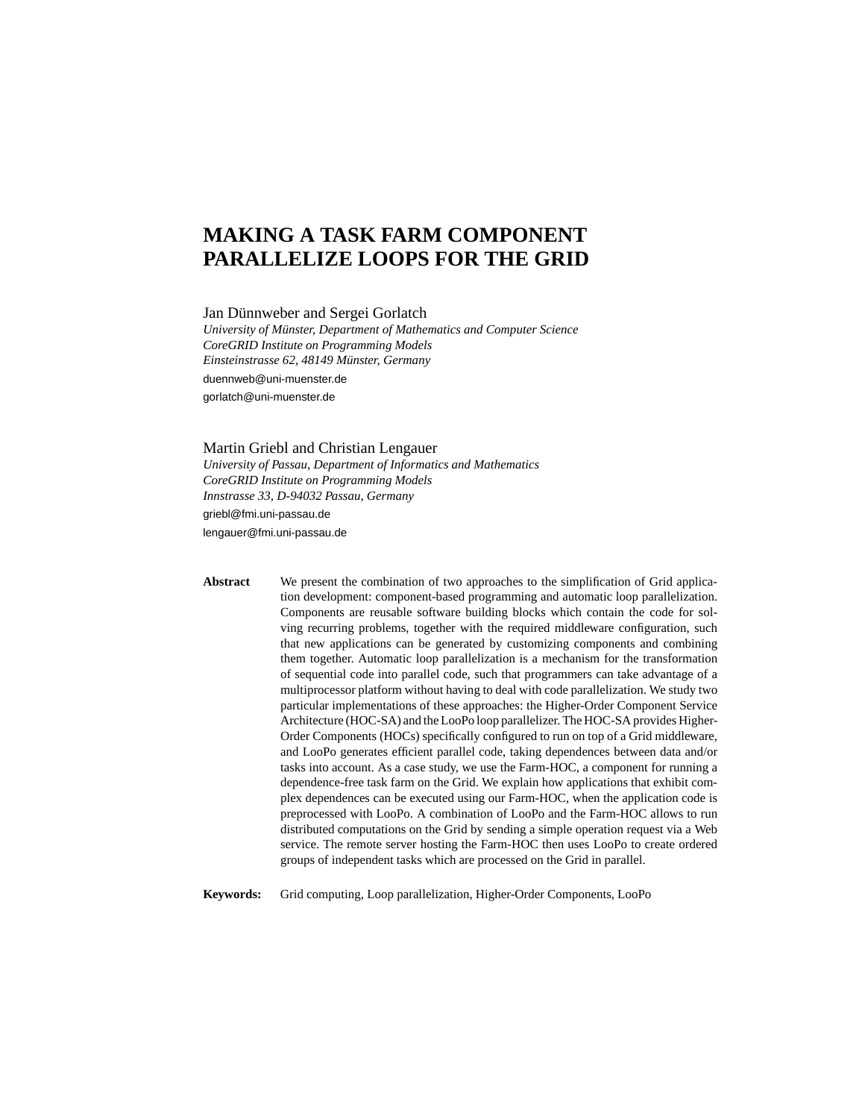# **MAKING A TASK FARM COMPONENT PARALLELIZE LOOPS FOR THE GRID**

Jan Dünnweber and Sergei Gorlatch

*University of Munster ¨ , Department of Mathematics and Computer Science CoreGRID Institute on Programming Models Einsteinstrasse 62, 48149 Munster ¨ , Germany* duennweb@uni-muenster.de gorlatch@uni-muenster.de

Martin Griebl and Christian Lengauer

*University of Passau, Department of Informatics and Mathematics CoreGRID Institute on Programming Models Innstrasse 33, D-94032 Passau, Germany* griebl@fmi.uni-passau.de lengauer@fmi.uni-passau.de

tion development: component-based programming and automatic loop parallelization. Components are reusable software building blocks which contain the code for solving recurring problems, together with the required middleware configuration, such that new applications can be generated by customizing components and combining them together. Automatic loop parallelization is a mechanism for the transformation of sequential code into parallel code, such that programmers can take advantage of a multiprocessor platform without having to deal with code parallelization. We study two particular implementations of these approaches: the Higher-Order Component Service Architecture (HOC-SA) and the LooPo loop parallelizer. The HOC-SA provides Higher-Order Components (HOCs) specifically configured to run on top of a Grid middleware, and LooPo generates efficient parallel code, taking dependences between data and/or tasks into account. As a case study, we use the Farm-HOC, a component for running a dependence-free task farm on the Grid. We explain how applications that exhibit com-

plex dependences can be executed using our Farm-HOC, when the application code is preprocessed with LooPo. A combination of LooPo and the Farm-HOC allows to run distributed computations on the Grid by sending a simple operation request via a Web service. The remote server hosting the Farm-HOC then uses LooPo to create ordered groups of independent tasks which are processed on the Grid in parallel.

**Abstract** We present the combination of two approaches to the simplification of Grid applica-

**Keywords:** Grid computing, Loop parallelization, Higher-Order Components, LooPo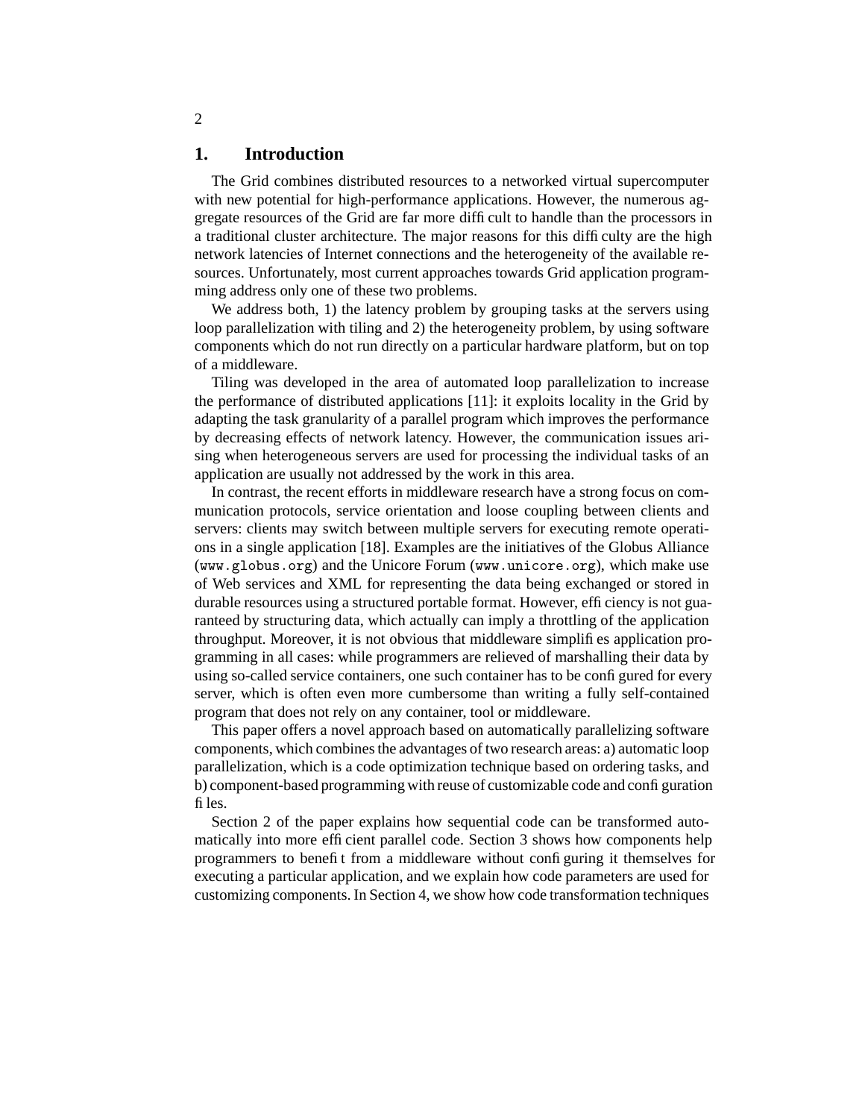## **1. Introduction**

The Grid combines distributed resources to a networked virtual supercomputer with new potential for high-performance applications. However, the numerous aggregate resources of the Grid are far more difficult to handle than the processors in a traditional cluster architecture. The major reasons for this difficulty are the high network latencies of Internet connections and the heterogeneity of the available resources. Unfortunately, most current approaches towards Grid application programming address only one of these two problems.

We address both, 1) the latency problem by grouping tasks at the servers using loop parallelization with tiling and 2) the heterogeneity problem, by using software components which do not run directly on a particular hardware platform, but on top of a middleware.

Tiling was developed in the area of automated loop parallelization to increase the performance of distributed applications [11]: it exploits locality in the Grid by adapting the task granularity of a parallel program which improves the performance by decreasing effects of network latency. However, the communication issues arising when heterogeneous servers are used for processing the individual tasks of an application are usually not addressed by the work in this area.

In contrast, the recent efforts in middleware research have a strong focus on communication protocols, service orientation and loose coupling between clients and servers: clients may switch between multiple servers for executing remote operations in a single application [18]. Examples are the initiatives of the Globus Alliance (www.globus.org) and the Unicore Forum (www.unicore.org), which make use of Web services and XML for representing the data being exchanged or stored in durable resources using a structured portable format. However, efficiency is not guaranteed by structuring data, which actually can imply a throttling of the application throughput. Moreover, it is not obvious that middleware simplifies application programming in all cases: while programmers are relieved of marshalling their data by using so-called service containers, one such container has to be configured for every server, which is often even more cumbersome than writing a fully self-contained program that does not rely on any container, tool or middleware.

This paper offers a novel approach based on automatically parallelizing software components, which combinesthe advantages of two research areas: a) automatic loop parallelization, which is a code optimization technique based on ordering tasks, and b) component-based programming with reuse of customizable code and configuration files.

Section 2 of the paper explains how sequential code can be transformed automatically into more efficient parallel code. Section 3 shows how components help programmers to benefit from a middleware without configuring it themselves for executing a particular application, and we explain how code parameters are used for customizing components. In Section 4, we show how code transformation techniques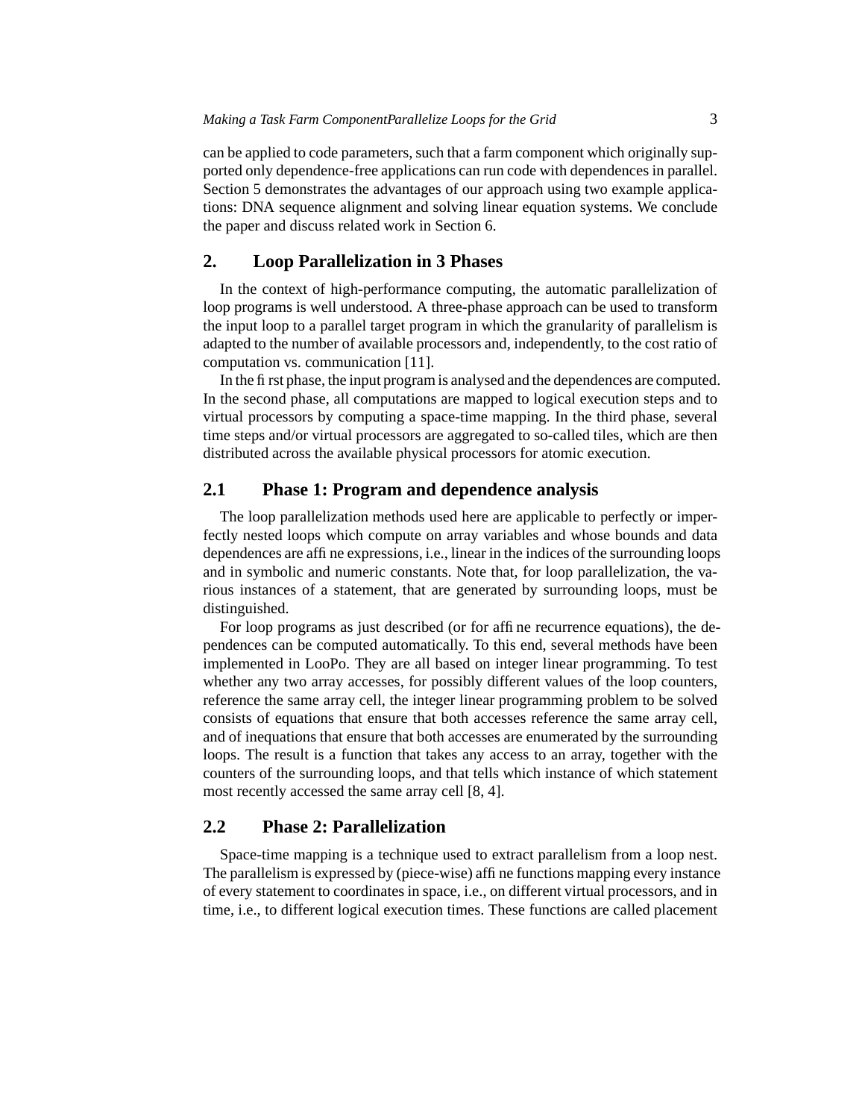can be applied to code parameters, such that a farm component which originally supported only dependence-free applications can run code with dependences in parallel. Section 5 demonstrates the advantages of our approach using two example applications: DNA sequence alignment and solving linear equation systems. We conclude the paper and discuss related work in Section 6.

## **2. Loop Parallelization in 3 Phases**

In the context of high-performance computing, the automatic parallelization of loop programs is well understood. A three-phase approach can be used to transform the input loop to a parallel target program in which the granularity of parallelism is adapted to the number of available processors and, independently, to the cost ratio of computation vs. communication [11].

In the first phase, the input program is analysed and the dependences are computed. In the second phase, all computations are mapped to logical execution steps and to virtual processors by computing a space-time mapping. In the third phase, several time steps and/or virtual processors are aggregated to so-called tiles, which are then distributed across the available physical processors for atomic execution.

# **2.1 Phase 1: Program and dependence analysis**

The loop parallelization methods used here are applicable to perfectly or imperfectly nested loops which compute on array variables and whose bounds and data dependences are affine expressions, i.e., linear in the indices of the surrounding loops and in symbolic and numeric constants. Note that, for loop parallelization, the various instances of a statement, that are generated by surrounding loops, must be distinguished.

For loop programs as just described (or for affine recurrence equations), the dependences can be computed automatically. To this end, several methods have been implemented in LooPo. They are all based on integer linear programming. To test whether any two array accesses, for possibly different values of the loop counters, reference the same array cell, the integer linear programming problem to be solved consists of equations that ensure that both accesses reference the same array cell, and of inequations that ensure that both accesses are enumerated by the surrounding loops. The result is a function that takes any access to an array, together with the counters of the surrounding loops, and that tells which instance of which statement most recently accessed the same array cell [8, 4].

## **2.2 Phase 2: Parallelization**

Space-time mapping is a technique used to extract parallelism from a loop nest. The parallelism is expressed by (piece-wise) affine functions mapping every instance of every statement to coordinatesin space, i.e., on different virtual processors, and in time, i.e., to different logical execution times. These functions are called placement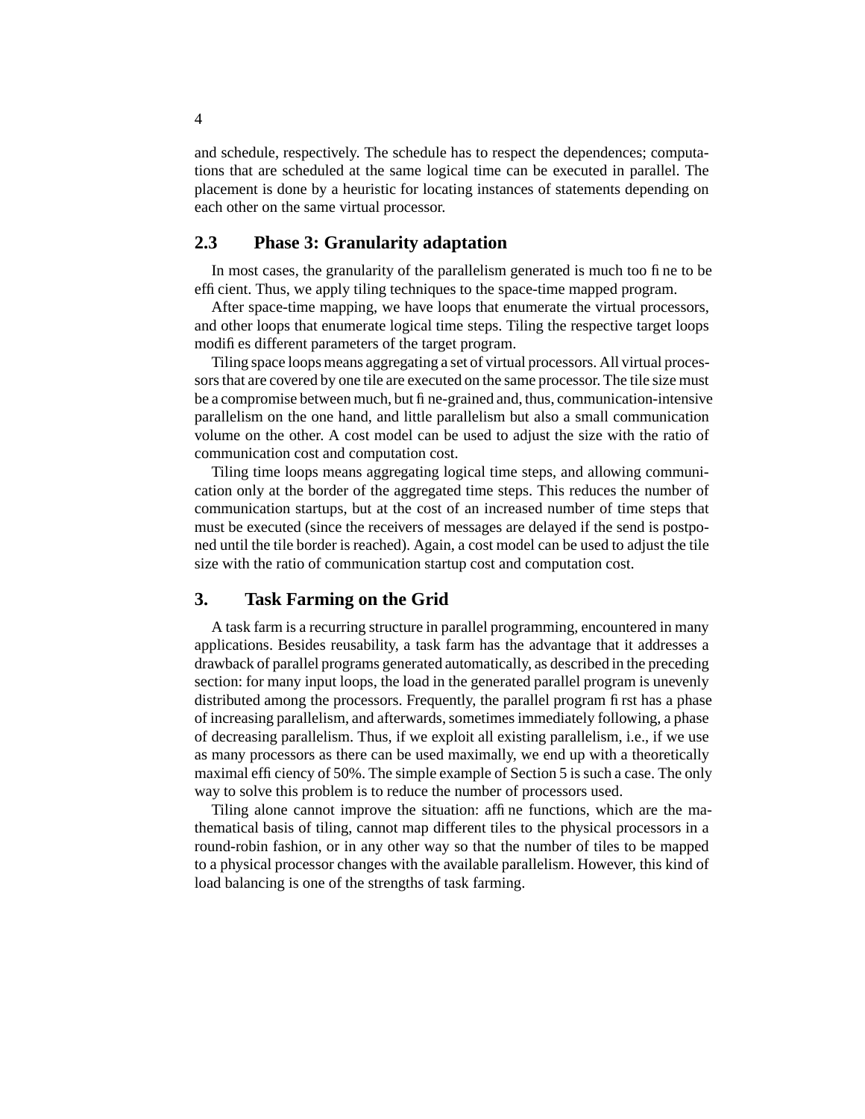and schedule, respectively. The schedule has to respect the dependences; computations that are scheduled at the same logical time can be executed in parallel. The placement is done by a heuristic for locating instances of statements depending on each other on the same virtual processor.

### **2.3 Phase 3: Granularity adaptation**

In most cases, the granularity of the parallelism generated is much too fine to be efficient. Thus, we apply tiling techniques to the space-time mapped program.

After space-time mapping, we have loops that enumerate the virtual processors, and other loops that enumerate logical time steps. Tiling the respective target loops modifies different parameters of the target program.

Tiling space loops means aggregating a set of virtual processors. All virtual processorsthat are covered by one tile are executed on the same processor. The tile size must be a compromise between much, but fine-grained and, thus, communication-intensive parallelism on the one hand, and little parallelism but also a small communication volume on the other. A cost model can be used to adjust the size with the ratio of communication cost and computation cost.

Tiling time loops means aggregating logical time steps, and allowing communication only at the border of the aggregated time steps. This reduces the number of communication startups, but at the cost of an increased number of time steps that must be executed (since the receivers of messages are delayed if the send is postponed until the tile border is reached). Again, a cost model can be used to adjust the tile size with the ratio of communication startup cost and computation cost.

## **3. Task Farming on the Grid**

A task farm is a recurring structure in parallel programming, encountered in many applications. Besides reusability, a task farm has the advantage that it addresses a drawback of parallel programs generated automatically, as described in the preceding section: for many input loops, the load in the generated parallel program is unevenly distributed among the processors. Frequently, the parallel program first has a phase of increasing parallelism, and afterwards, sometimes immediately following, a phase of decreasing parallelism. Thus, if we exploit all existing parallelism, i.e., if we use as many processors as there can be used maximally, we end up with a theoretically maximal efficiency of 50%. The simple example of Section 5 is such a case. The only way to solve this problem is to reduce the number of processors used.

Tiling alone cannot improve the situation: affine functions, which are the mathematical basis of tiling, cannot map different tiles to the physical processors in a round-robin fashion, or in any other way so that the number of tiles to be mapped to a physical processor changes with the available parallelism. However, this kind of load balancing is one of the strengths of task farming.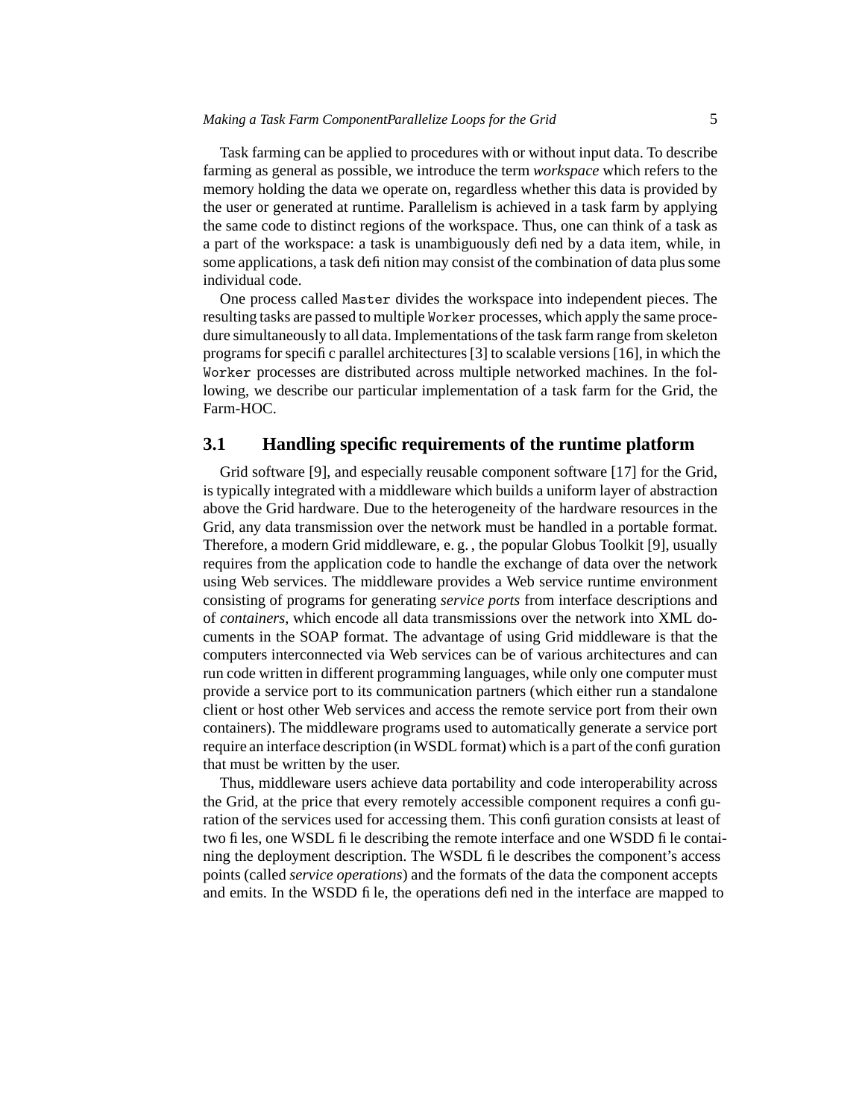Task farming can be applied to procedures with or without input data. To describe farming as general as possible, we introduce the term *workspace* which refers to the memory holding the data we operate on, regardless whether this data is provided by the user or generated at runtime. Parallelism is achieved in a task farm by applying the same code to distinct regions of the workspace. Thus, one can think of a task as a part of the workspace: a task is unambiguously defined by a data item, while, in some applications, a task definition may consist of the combination of data plussome individual code.

One process called Master divides the workspace into independent pieces. The resulting tasks are passed to multiple Worker processes, which apply the same procedure simultaneously to all data. Implementations of the task farm range from skeleton programs for specific parallel architectures[3] to scalable versions [16], in which the Worker processes are distributed across multiple networked machines. In the following, we describe our particular implementation of a task farm for the Grid, the Farm-HOC.

## **3.1 Handling specific requirements of the runtime platform**

Grid software [9], and especially reusable component software [17] for the Grid, is typically integrated with a middleware which builds a uniform layer of abstraction above the Grid hardware. Due to the heterogeneity of the hardware resources in the Grid, any data transmission over the network must be handled in a portable format. Therefore, a modern Grid middleware, e. g. , the popular Globus Toolkit [9], usually requires from the application code to handle the exchange of data over the network using Web services. The middleware provides a Web service runtime environment consisting of programs for generating *service ports* from interface descriptions and of *containers*, which encode all data transmissions over the network into XML documents in the SOAP format. The advantage of using Grid middleware is that the computers interconnected via Web services can be of various architectures and can run code written in different programming languages, while only one computer must provide a service port to its communication partners (which either run a standalone client or host other Web services and access the remote service port from their own containers). The middleware programs used to automatically generate a service port require an interface description (in WSDL format) which is a part of the configuration that must be written by the user.

Thus, middleware users achieve data portability and code interoperability across the Grid, at the price that every remotely accessible component requires a configuration of the services used for accessing them. This configuration consists at least of two files, one WSDL file describing the remote interface and one WSDD file containing the deployment description. The WSDL file describes the component's access points (called *service operations*) and the formats of the data the component accepts and emits. In the WSDD file, the operations defined in the interface are mapped to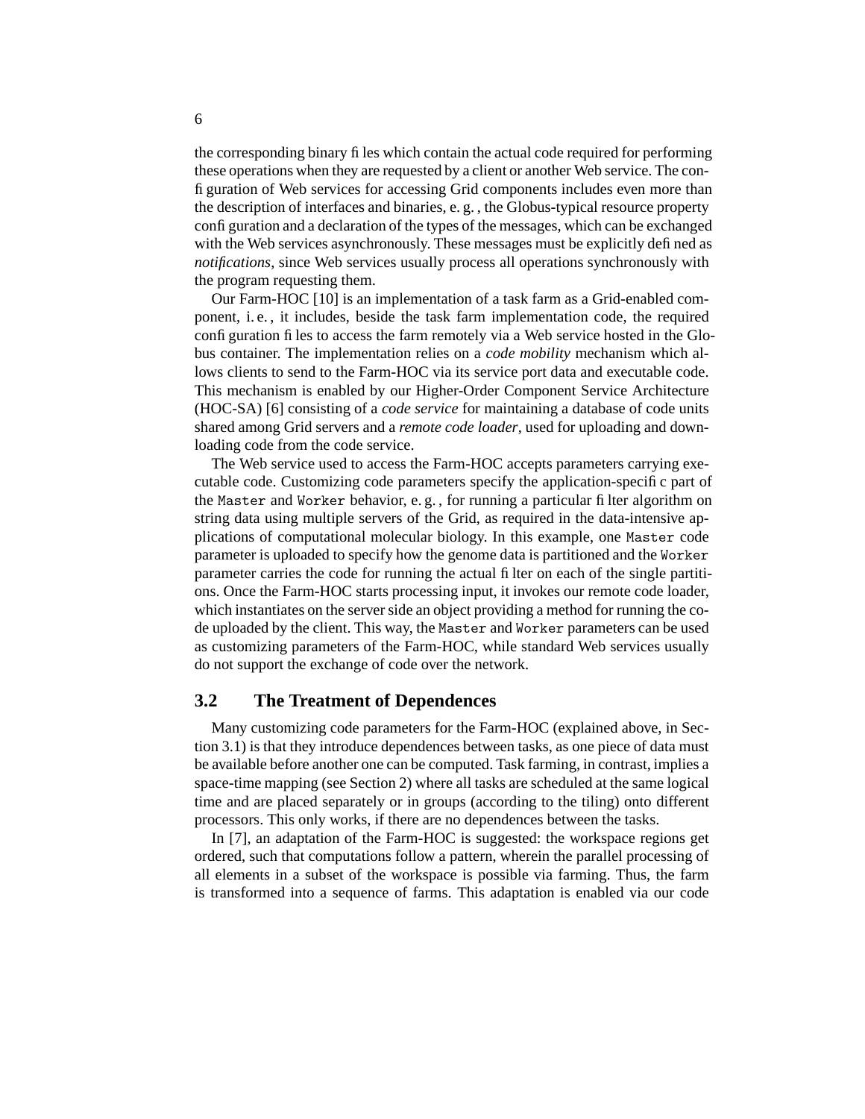the corresponding binary files which contain the actual code required for performing these operations when they are requested by a client or another Web service. The configuration of Web services for accessing Grid components includes even more than the description of interfaces and binaries, e. g. , the Globus-typical resource property configuration and a declaration of the types of the messages, which can be exchanged with the Web services asynchronously. These messages must be explicitly defined as *notifications*, since Web services usually process all operations synchronously with the program requesting them.

Our Farm-HOC [10] is an implementation of a task farm as a Grid-enabled component, i. e. , it includes, beside the task farm implementation code, the required configuration files to access the farm remotely via a Web service hosted in the Globus container. The implementation relies on a *code mobility* mechanism which allows clients to send to the Farm-HOC via its service port data and executable code. This mechanism is enabled by our Higher-Order Component Service Architecture (HOC-SA) [6] consisting of a *code service* for maintaining a database of code units shared among Grid servers and a *remote code loader*, used for uploading and downloading code from the code service.

The Web service used to access the Farm-HOC accepts parameters carrying executable code. Customizing code parameters specify the application-specific part of the Master and Worker behavior, e. g. , for running a particular filter algorithm on string data using multiple servers of the Grid, as required in the data-intensive applications of computational molecular biology. In this example, one Master code parameter is uploaded to specify how the genome data is partitioned and the Worker parameter carries the code for running the actual filter on each of the single partitions. Once the Farm-HOC starts processing input, it invokes our remote code loader, which instantiates on the server side an object providing a method for running the code uploaded by the client. This way, the Master and Worker parameters can be used as customizing parameters of the Farm-HOC, while standard Web services usually do not support the exchange of code over the network.

## **3.2 The Treatment of Dependences**

Many customizing code parameters for the Farm-HOC (explained above, in Section 3.1) is that they introduce dependences between tasks, as one piece of data must be available before another one can be computed. Task farming, in contrast, implies a space-time mapping (see Section 2) where all tasks are scheduled at the same logical time and are placed separately or in groups (according to the tiling) onto different processors. This only works, if there are no dependences between the tasks.

In [7], an adaptation of the Farm-HOC is suggested: the workspace regions get ordered, such that computations follow a pattern, wherein the parallel processing of all elements in a subset of the workspace is possible via farming. Thus, the farm is transformed into a sequence of farms. This adaptation is enabled via our code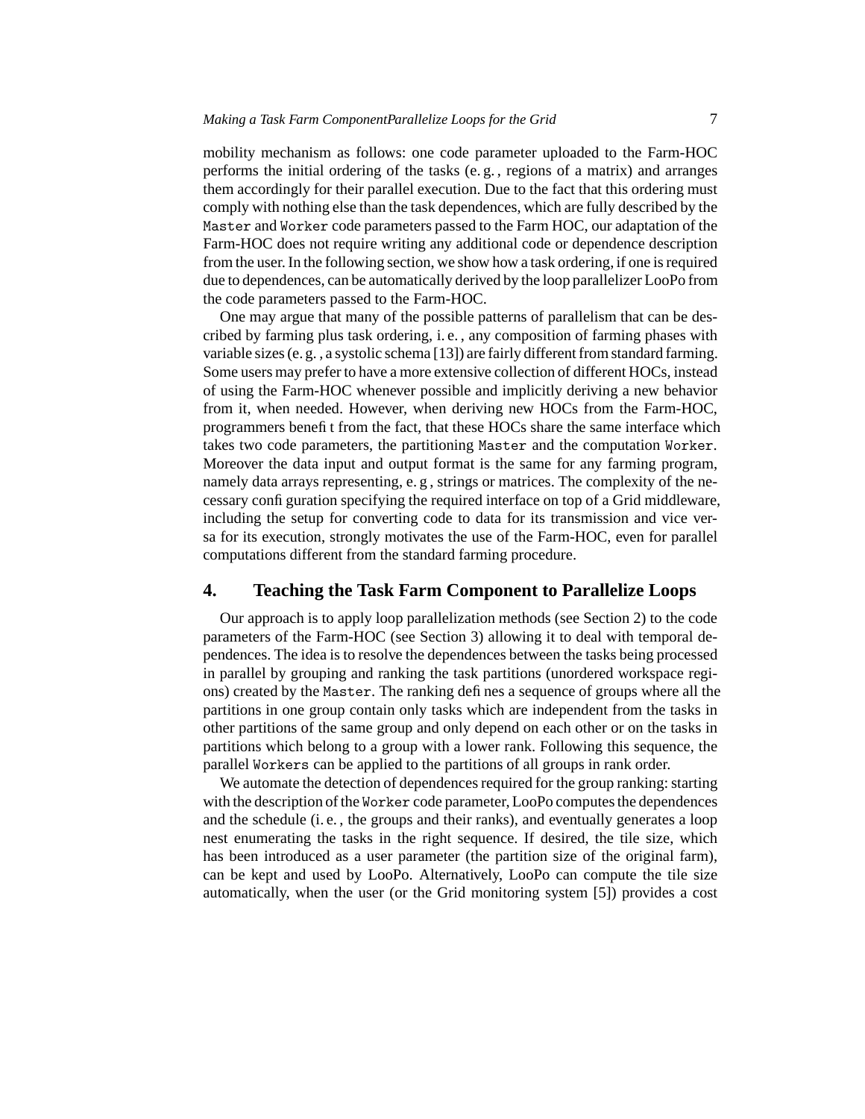mobility mechanism as follows: one code parameter uploaded to the Farm-HOC performs the initial ordering of the tasks (e. g. , regions of a matrix) and arranges them accordingly for their parallel execution. Due to the fact that this ordering must comply with nothing else than the task dependences, which are fully described by the Master and Worker code parameters passed to the Farm HOC, our adaptation of the Farm-HOC does not require writing any additional code or dependence description from the user. In the following section, we show how a task ordering, if one is required due to dependences, can be automatically derived by the loop parallelizer LooPo from the code parameters passed to the Farm-HOC.

One may argue that many of the possible patterns of parallelism that can be described by farming plus task ordering, i. e. , any composition of farming phases with variable sizes (e.g., a systolic schema [13]) are fairly different from standard farming. Some users may prefer to have a more extensive collection of different HOCs, instead of using the Farm-HOC whenever possible and implicitly deriving a new behavior from it, when needed. However, when deriving new HOCs from the Farm-HOC, programmers benefit from the fact, that these HOCs share the same interface which takes two code parameters, the partitioning Master and the computation Worker. Moreover the data input and output format is the same for any farming program, namely data arrays representing, e. g , strings or matrices. The complexity of the necessary configuration specifying the required interface on top of a Grid middleware, including the setup for converting code to data for its transmission and vice versa for its execution, strongly motivates the use of the Farm-HOC, even for parallel computations different from the standard farming procedure.

## **4. Teaching the Task Farm Component to Parallelize Loops**

Our approach is to apply loop parallelization methods (see Section 2) to the code parameters of the Farm-HOC (see Section 3) allowing it to deal with temporal dependences. The idea is to resolve the dependences between the tasks being processed in parallel by grouping and ranking the task partitions (unordered workspace regions) created by the Master. The ranking defines a sequence of groups where all the partitions in one group contain only tasks which are independent from the tasks in other partitions of the same group and only depend on each other or on the tasks in partitions which belong to a group with a lower rank. Following this sequence, the parallel Workers can be applied to the partitions of all groups in rank order.

We automate the detection of dependences required for the group ranking: starting with the description of the Worker code parameter, LooPo computes the dependences and the schedule (i. e. , the groups and their ranks), and eventually generates a loop nest enumerating the tasks in the right sequence. If desired, the tile size, which has been introduced as a user parameter (the partition size of the original farm), can be kept and used by LooPo. Alternatively, LooPo can compute the tile size automatically, when the user (or the Grid monitoring system [5]) provides a cost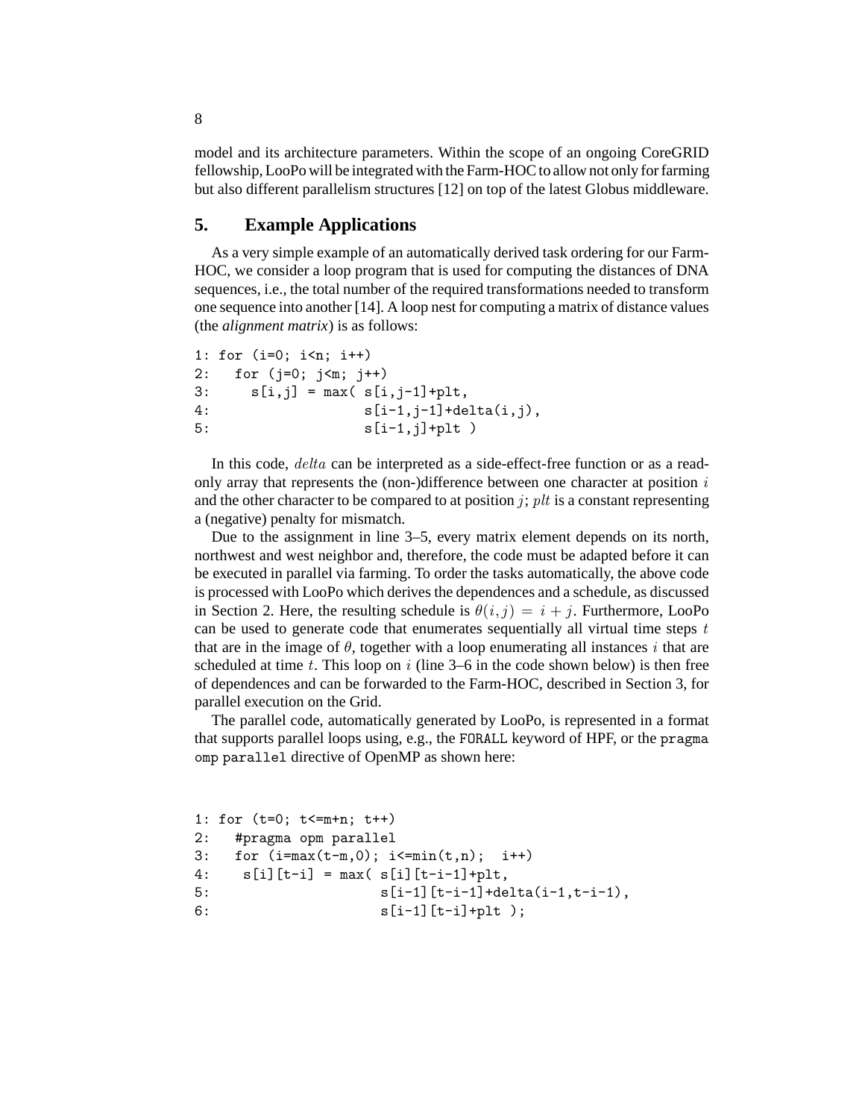model and its architecture parameters. Within the scope of an ongoing CoreGRID fellowship, LooPo will be integrated with the Farm-HOC to allow not only for farming but also different parallelism structures [12] on top of the latest Globus middleware.

## **5. Example Applications**

As a very simple example of an automatically derived task ordering for our Farm-HOC, we consider a loop program that is used for computing the distances of DNA sequences, i.e., the total number of the required transformations needed to transform one sequence into another [14]. A loop nest for computing a matrix of distance values (the *alignment matrix*) is as follows:

```
1: for (i=0; i<n; i++)
2: for (j=0; j<m; j++)
3: s[i, j] = max(s[i, j-1]+plt,4: s[i-1,j-1] + delta(i,j),
5: s[i-1,j]+p]t
```
In this code, delta can be interpreted as a side-effect-free function or as a readonly array that represents the (non-)difference between one character at position  $i$ and the other character to be compared to at position  $j$ ; plt is a constant representing a (negative) penalty for mismatch.

Due to the assignment in line 3–5, every matrix element depends on its north, northwest and west neighbor and, therefore, the code must be adapted before it can be executed in parallel via farming. To order the tasks automatically, the above code is processed with LooPo which derives the dependences and a schedule, as discussed in Section 2. Here, the resulting schedule is  $\theta(i, j) = i + j$ . Furthermore, LooPo can be used to generate code that enumerates sequentially all virtual time steps  $t$ that are in the image of  $\theta$ , together with a loop enumerating all instances i that are scheduled at time t. This loop on  $i$  (line 3–6 in the code shown below) is then free of dependences and can be forwarded to the Farm-HOC, described in Section 3, for parallel execution on the Grid.

The parallel code, automatically generated by LooPo, is represented in a format that supports parallel loops using, e.g., the FORALL keyword of HPF, or the pragma omp parallel directive of OpenMP as shown here:

```
1: for (t=0; t<=m+n; t++)
2: #pragma opm parallel
3: for (i=max(t-m,0); i<=min(t,n); i++)4: s[i][t-i] = max(s[i][t-i-1]+plt,5: s[i-1][t-i-1]+delta(i-1,t-i-1),6: s[i-1][t-i]+p1;
```
8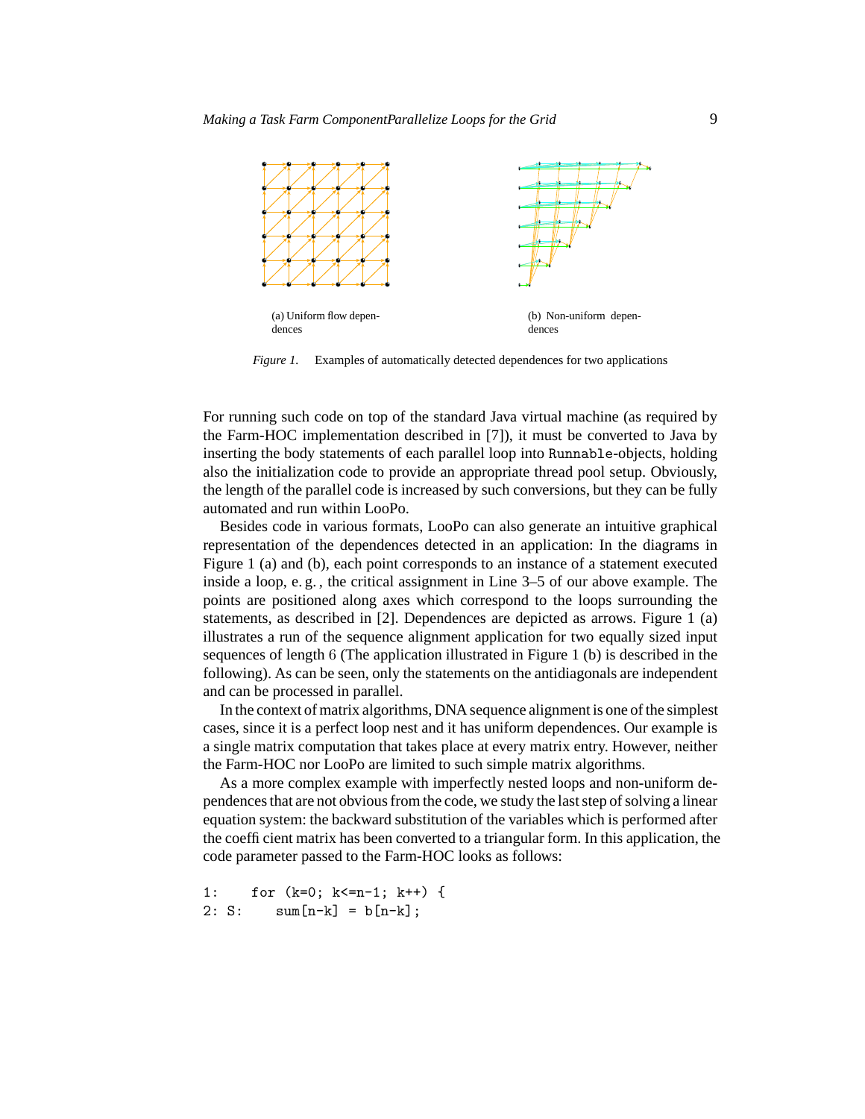

*Figure 1.* Examples of automatically detected dependences for two applications

For running such code on top of the standard Java virtual machine (as required by the Farm-HOC implementation described in [7]), it must be converted to Java by inserting the body statements of each parallel loop into Runnable-objects, holding also the initialization code to provide an appropriate thread pool setup. Obviously, the length of the parallel code is increased by such conversions, but they can be fully automated and run within LooPo.

Besides code in various formats, LooPo can also generate an intuitive graphical representation of the dependences detected in an application: In the diagrams in Figure 1 (a) and (b), each point corresponds to an instance of a statement executed inside a loop, e. g. , the critical assignment in Line 3–5 of our above example. The points are positioned along axes which correspond to the loops surrounding the statements, as described in [2]. Dependences are depicted as arrows. Figure 1 (a) illustrates a run of the sequence alignment application for two equally sized input sequences of length 6 (The application illustrated in Figure 1 (b) is described in the following). As can be seen, only the statements on the antidiagonals are independent and can be processed in parallel.

In the context of matrix algorithms, DNA sequence alignment is one ofthe simplest cases, since it is a perfect loop nest and it has uniform dependences. Our example is a single matrix computation that takes place at every matrix entry. However, neither the Farm-HOC nor LooPo are limited to such simple matrix algorithms.

As a more complex example with imperfectly nested loops and non-uniform dependencesthat are not obviousfrom the code, we study the laststep ofsolving a linear equation system: the backward substitution of the variables which is performed after the coefficient matrix has been converted to a triangular form. In this application, the code parameter passed to the Farm-HOC looks as follows:

```
1: for (k=0; k<=n-1; k++) {
2: S: sum[n-k] = b[n-k];
```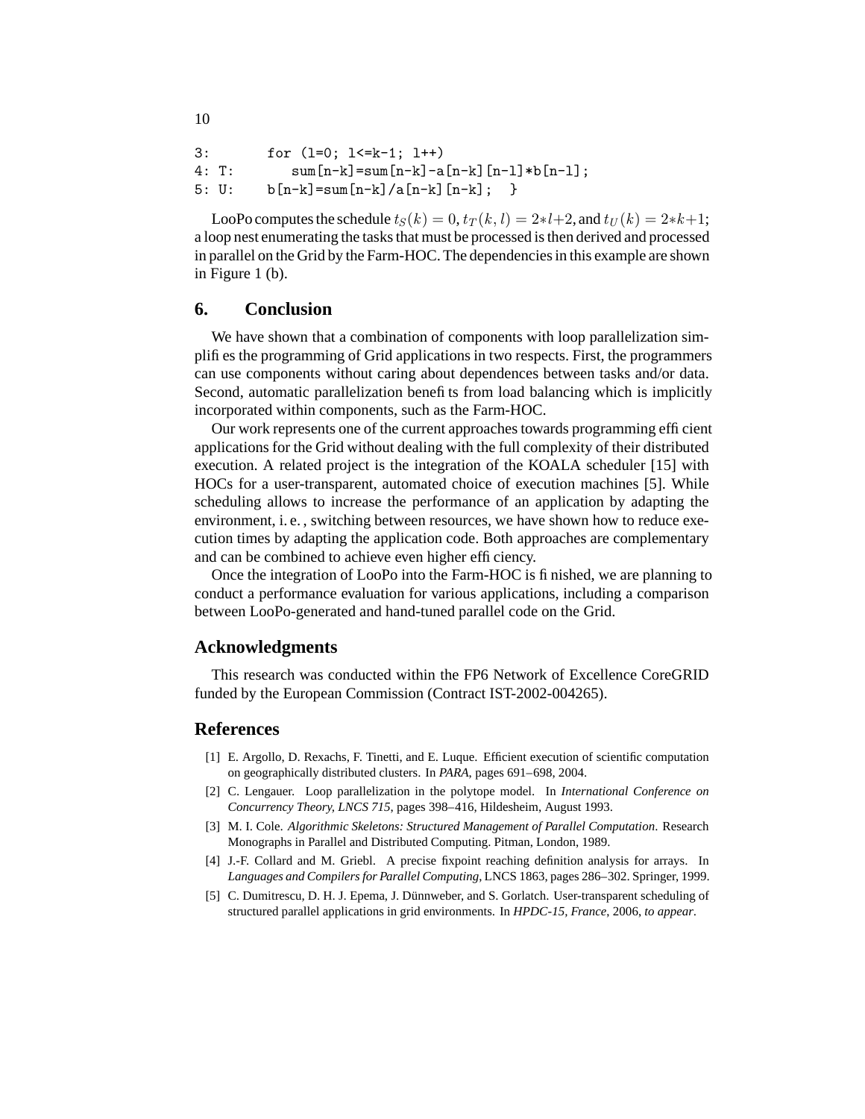```
3: for (l=0; l<=k-1; l++)
4: T: sum[n-k]=sum[n-k]-a[n-k][n-1]*b[n-1];5: U: b[n-k] = \text{sum}[n-k]/a[n-k][n-k];
```
LooPo computes the schedule  $t_S(k) = 0$ ,  $t_T(k, l) = 2 \times l + 2$ , and  $t_U(k) = 2 \times k + 1$ ; a loop nest enumerating the tasksthat must be processed isthen derived and processed in parallel on the Grid by the Farm-HOC. The dependencies in this example are shown in Figure 1 (b).

## **6. Conclusion**

We have shown that a combination of components with loop parallelization simplifies the programming of Grid applications in two respects. First, the programmers can use components without caring about dependences between tasks and/or data. Second, automatic parallelization benefits from load balancing which is implicitly incorporated within components, such as the Farm-HOC.

Our work represents one of the current approachestowards programming efficient applications for the Grid without dealing with the full complexity of their distributed execution. A related project is the integration of the KOALA scheduler [15] with HOCs for a user-transparent, automated choice of execution machines [5]. While scheduling allows to increase the performance of an application by adapting the environment, i. e. , switching between resources, we have shown how to reduce execution times by adapting the application code. Both approaches are complementary and can be combined to achieve even higher efficiency.

Once the integration of LooPo into the Farm-HOC is finished, we are planning to conduct a performance evaluation for various applications, including a comparison between LooPo-generated and hand-tuned parallel code on the Grid.

#### **Acknowledgments**

This research was conducted within the FP6 Network of Excellence CoreGRID funded by the European Commission (Contract IST-2002-004265).

## **References**

- [1] E. Argollo, D. Rexachs, F. Tinetti, and E. Luque. Efficient execution of scientific computation on geographically distributed clusters. In *PARA*, pages 691–698, 2004.
- [2] C. Lengauer. Loop parallelization in the polytope model. In *International Conference on Concurrency Theory, LNCS 715*, pages 398–416, Hildesheim, August 1993.
- [3] M. I. Cole. *Algorithmic Skeletons: Structured Management of Parallel Computation*. Research Monographs in Parallel and Distributed Computing. Pitman, London, 1989.
- [4] J.-F. Collard and M. Griebl. A precise fixpoint reaching definition analysis for arrays. In *Languages and Compilers for Parallel Computing*, LNCS 1863, pages 286–302. Springer, 1999.
- [5] C. Dumitrescu, D. H. J. Epema, J. Dünnweber, and S. Gorlatch. User-transparent scheduling of structured parallel applications in grid environments. In *HPDC-15, France*, 2006, *to appear*.

```
10
```